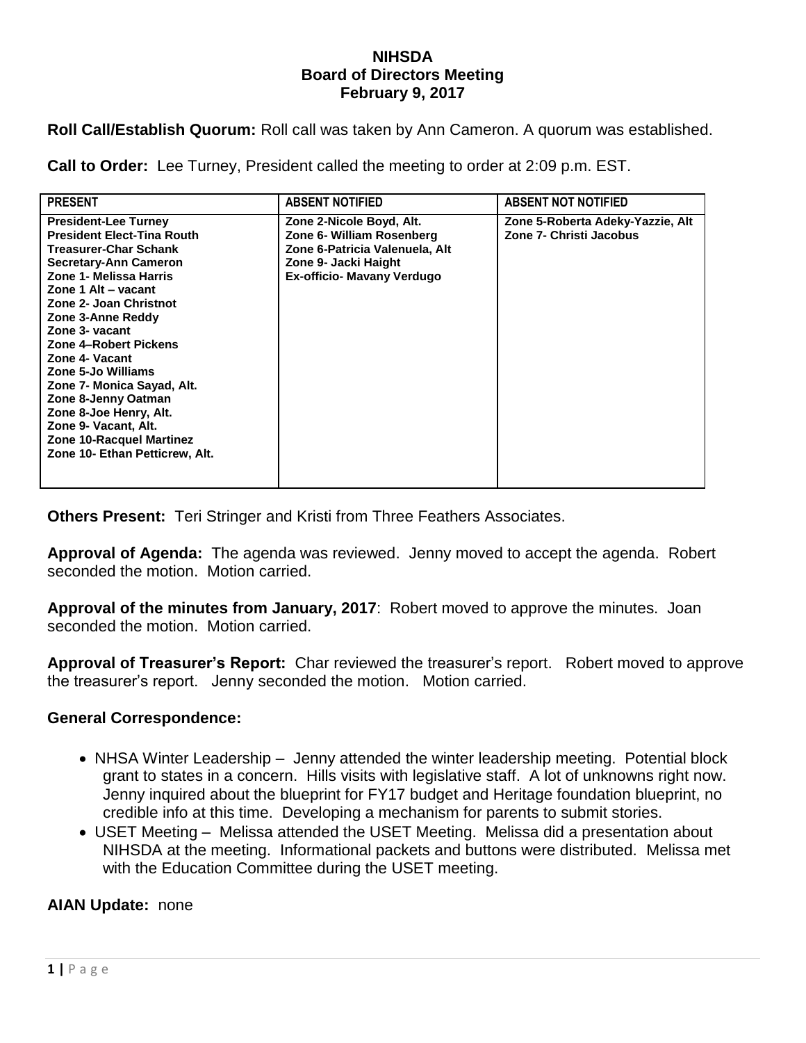## **NIHSDA Board of Directors Meeting February 9, 2017**

**Roll Call/Establish Quorum:** Roll call was taken by Ann Cameron. A quorum was established.

**Call to Order:** Lee Turney, President called the meeting to order at 2:09 p.m. EST.

| <b>PRESENT</b>                                                                                                                                                                                                                                                                                                                                                                                                                                                                                  | <b>ABSENT NOTIFIED</b>                                                                                                                        | <b>ABSENT NOT NOTIFIED</b>                                  |
|-------------------------------------------------------------------------------------------------------------------------------------------------------------------------------------------------------------------------------------------------------------------------------------------------------------------------------------------------------------------------------------------------------------------------------------------------------------------------------------------------|-----------------------------------------------------------------------------------------------------------------------------------------------|-------------------------------------------------------------|
| <b>President-Lee Turney</b><br><b>President Elect-Tina Routh</b><br><b>Treasurer-Char Schank</b><br><b>Secretary-Ann Cameron</b><br>Zone 1- Melissa Harris<br>Zone 1 Alt - vacant<br>Zone 2- Joan Christnot<br>Zone 3-Anne Reddy<br>Zone 3- vacant<br>Zone 4-Robert Pickens<br>Zone 4- Vacant<br>Zone 5-Jo Williams<br>Zone 7- Monica Sayad, Alt.<br>Zone 8-Jenny Oatman<br>Zone 8-Joe Henry, Alt.<br>Zone 9- Vacant, Alt.<br><b>Zone 10-Racquel Martinez</b><br>Zone 10- Ethan Petticrew, Alt. | Zone 2-Nicole Boyd, Alt.<br>Zone 6- William Rosenberg<br>Zone 6-Patricia Valenuela, Alt<br>Zone 9- Jacki Haight<br>Ex-officio- Mavany Verdugo | Zone 5-Roberta Adeky-Yazzie, Alt<br>Zone 7- Christi Jacobus |

**Others Present:** Teri Stringer and Kristi from Three Feathers Associates.

**Approval of Agenda:** The agenda was reviewed. Jenny moved to accept the agenda. Robert seconded the motion. Motion carried.

**Approval of the minutes from January, 2017**: Robert moved to approve the minutes. Joan seconded the motion. Motion carried.

**Approval of Treasurer's Report:** Char reviewed the treasurer's report. Robert moved to approve the treasurer's report. Jenny seconded the motion. Motion carried.

## **General Correspondence:**

- NHSA Winter Leadership Jenny attended the winter leadership meeting. Potential block grant to states in a concern. Hills visits with legislative staff. A lot of unknowns right now. Jenny inquired about the blueprint for FY17 budget and Heritage foundation blueprint, no credible info at this time. Developing a mechanism for parents to submit stories.
- USET Meeting Melissa attended the USET Meeting. Melissa did a presentation about NIHSDA at the meeting. Informational packets and buttons were distributed. Melissa met with the Education Committee during the USET meeting.

## **AIAN Update:** none